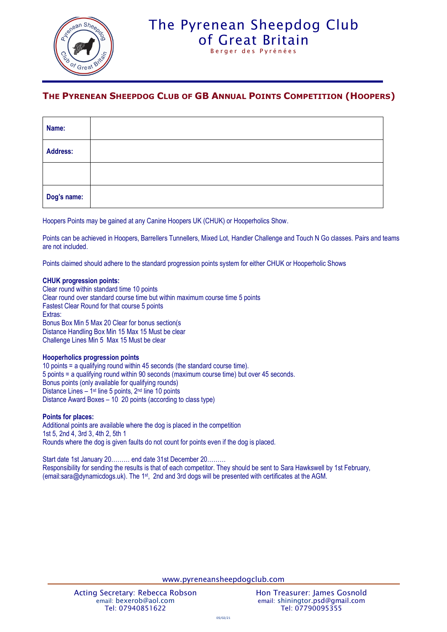

# The Pyrenean Sheepdog Club [of Great Britain](http://www.pyreneansheepdog.co.uk/index.htm)

Berger des Pyrénées

### **THE PYRENEAN SHEEPDOG CLUB OF GB ANNUAL POINTS COMPETITION (HOOPERS)**

| Name:       |  |  |
|-------------|--|--|
| Address:    |  |  |
|             |  |  |
| Dog's name: |  |  |

Hoopers Points may be gained at any Canine Hoopers UK (CHUK) or Hooperholics Show.

Points can be achieved in Hoopers, Barrellers Tunnellers, Mixed Lot, Handler Challenge and Touch N Go classes. Pairs and teams are not included.

Points claimed should adhere to the standard progression points system for either CHUK or Hooperholic Shows

#### **CHUK progression points:**

Clear round within standard time 10 points Clear round over standard course time but within maximum course time 5 points Fastest Clear Round for that course 5 points Extras: Bonus Box Min 5 Max 20 Clear for bonus section(s Distance Handling Box Min 15 Max 15 Must be clear Challenge Lines Min 5 Max 15 Must be clear

#### **Hooperholics progression points**

10 points = a qualifying round within 45 seconds (the standard course time). 5 points = a qualifying round within 90 seconds (maximum course time) but over 45 seconds. Bonus points (only available for qualifying rounds) Distance Lines - 1<sup>st</sup> line 5 points, 2<sup>nd</sup> line 10 points Distance Award Boxes – 10 20 points (according to class type)

#### **Points for places:**

Additional points are available where the dog is placed in the competition 1st 5, 2nd 4, 3rd 3, 4th 2, 5th 1 Rounds where the dog is given faults do not count for points even if the dog is placed.

Start date 1st January 20……… end date 31st December 20……… Responsibility for sending the results is that of each competitor. They should be sent to Sara Hawkswell by 1st February, (email:sara@dynamicdogs.uk). The 1<sup>st</sup>, 2nd and 3rd dogs will be presented with certificates at the AGM.

www.pyreneansheepdogclub.com